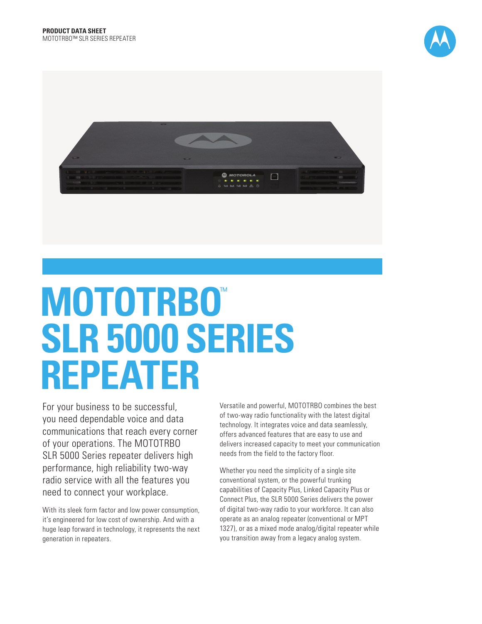



# **MOTOTRBO**™ **SLR 5000 SERIES REPEATER**

For your business to be successful, you need dependable voice and data communications that reach every corner of your operations. The MOTOTRBO SLR 5000 Series repeater delivers high performance, high reliability two-way radio service with all the features you need to connect your workplace.

With its sleek form factor and low power consumption, it's engineered for low cost of ownership. And with a huge leap forward in technology, it represents the next generation in repeaters.

Versatile and powerful, MOTOTRBO combines the best of two-way radio functionality with the latest digital technology. It integrates voice and data seamlessly, offers advanced features that are easy to use and delivers increased capacity to meet your communication needs from the field to the factory floor.

Whether you need the simplicity of a single site conventional system, or the powerful trunking capabilities of Capacity Plus, Linked Capacity Plus or Connect Plus, the SLR 5000 Series delivers the power of digital two-way radio to your workforce. It can also operate as an analog repeater (conventional or MPT 1327), or as a mixed mode analog/digital repeater while you transition away from a legacy analog system.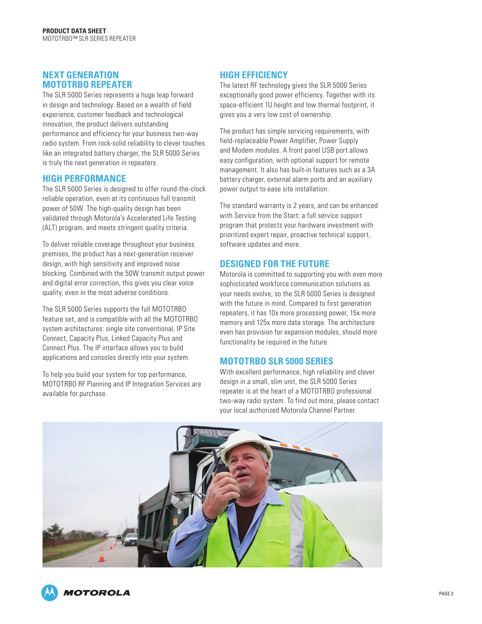#### **NEXT GENERATION MOTOTRBO REPEATER**

The SLR 5000 Series represents a huge leap forward in design and technology. Based on a wealth of field experience, customer feedback and technological innovation, the product delivers outstanding performance and efficiency for your business two-way radio system. From rock-solid reliability to clever touches like an integrated battery charger, the SLR 5000 Series is truly the next generation in repeaters.

#### **HIGH PERFORMANCE**

The SLR 5000 Series is designed to offer round-the-clock reliable operation, even at its continuous full transmit power of 50W. The high-quality design has been validated through Motorola's Accelerated Life Testing (ALT) program, and meets stringent quality criteria.

To deliver reliable coverage throughout your business premises, the product has a next-generation receiver design, with high sensitivity and improved noise blocking. Combined with the 50W transmit output power and digital error correction, this gives you clear voice quality, even in the most adverse conditions.

The SLR 5000 Series supports the full MOTOTRBO feature set, and is compatible with all the MOTOTRBO system architectures: single site conventional, IP Site Connect, Capacity Plus, Linked Capacity Plus and Connect Plus. The IP interface allows you to build applications and consoles directly into your system.

To help you build your system for top performance, MOTOTRBO RF Planning and IP Integration Services are available for purchase.

## **HIGH EFFICIENCY**

The latest RF technology gives the SLR 5000 Series exceptionally good power efficiency. Together with its space-efficient 1U height and low thermal footprint, it gives you a very low cost of ownership.

The product has simple servicing requirements, with field-replaceable Power Amplifier, Power Supply and Modem modules. A front panel USB port allows easy configuration, with optional support for remote management. It also has built-in features such as a 3A battery charger, external alarm ports and an auxiliary power output to ease site installation.

The standard warranty is 2 years, and can be enhanced with Service from the Start: a full service support program that protects your hardware investment with prioritized expert repair, proactive technical support, software updates and more.

#### **DESIGNED FOR THE FUTURE**

Motorola is committed to supporting you with even more sophisticated workforce communication solutions as your needs evolve, so the SLR 5000 Series is designed with the future in mind. Compared to first generation repeaters, it has 10x more processing power, 15x more memory and 125x more data storage. The architecture even has provision for expansion modules, should more functionality be required in the future.

#### **MOTOTRBO SLR 5000 SERIES**

With excellent performance, high reliability and clever design in a small, slim unit, the SLR 5000 Series repeater is at the heart of a MOTOTRBO professional two-way radio system. To find out more, please contact your local authorized Motorola Channel Partner.

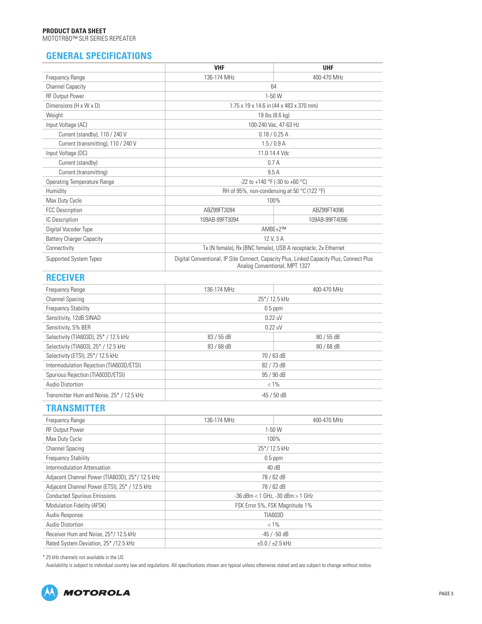## **GENERAL SPECIFICATIONS**

|                                          | <b>VHF</b>                                                                                                                | <b>UHF</b>     |
|------------------------------------------|---------------------------------------------------------------------------------------------------------------------------|----------------|
| Frequency Range                          | 136-174 MHz                                                                                                               | 400-470 MHz    |
| <b>Channel Capacity</b>                  | 64                                                                                                                        |                |
| <b>RF Output Power</b>                   | $1-50$ W                                                                                                                  |                |
| Dimensions (H x W x D)                   | 1.75 x 19 x 14.6 in (44 x 483 x 370 mm)                                                                                   |                |
| Weight                                   | 19 lbs (8.6 kg)                                                                                                           |                |
| Input Voltage (AC)                       | 100-240 Vac, 47-63 Hz                                                                                                     |                |
| Current (standby), 110 / 240 V           | 0.18 / 0.25 A                                                                                                             |                |
| Current (transmitting), 110 / 240 V      | 1.5/0.9 A                                                                                                                 |                |
| Input Voltage (DC)                       | 11.0-14.4 Vdc                                                                                                             |                |
| Current (standby)                        | 0.7A                                                                                                                      |                |
| Current (transmitting)                   | 9.5A                                                                                                                      |                |
| <b>Operating Temperature Range</b>       | -22 to +140 °F (-30 to +60 °C)                                                                                            |                |
| Humidity                                 | RH of 95%, non-condensing at 50 °C (122 °F)                                                                               |                |
| Max Duty Cycle                           | 100%                                                                                                                      |                |
| <b>FCC Description</b>                   | ABZ99FT3094                                                                                                               | ABZ99FT4096    |
| IC Description                           | 109AB-99FT3094                                                                                                            | 109AB-99FT4096 |
| Digital Vocoder Type                     | AMBE+2™                                                                                                                   |                |
| <b>Battery Charger Capacity</b>          | 12 V, 3 A                                                                                                                 |                |
| Connectivity                             | Tx (N female), Rx (BNC female), USB A receptacle, 2x Ethernet                                                             |                |
| <b>Supported System Types</b>            | Digital Conventional, IP Site Connect, Capacity Plus, Linked Capacity Plus, Connect Plus<br>Analog Conventional, MPT 1327 |                |
| <b>RECEIVER</b>                          |                                                                                                                           |                |
| Frequency Range                          | 136-174 MHz                                                                                                               | 400-470 MHz    |
| <b>Channel Spacing</b>                   | 25*/12.5 kHz                                                                                                              |                |
| <b>Frequency Stability</b>               | $0.5$ ppm                                                                                                                 |                |
| Sensitivity, 12dB SINAD                  | 0.22 uV                                                                                                                   |                |
| Sensitivity, 5% BER                      | 0.22 uV                                                                                                                   |                |
| Selectivity (TIA603D), 25* / 12.5 kHz    | 83 / 55 dB                                                                                                                | 80 / 55 dB     |
| Selectivity (TIA603), 25* / 12.5 kHz     | 83 / 68 dB                                                                                                                | 80 / 68 dB     |
| Selectivity (ETSI), 25*/ 12.5 kHz        | 70 / 63 dB                                                                                                                |                |
| Intermodulation Rejection (TIA603D/ETSI) | 82 / 73 dB                                                                                                                |                |

Audio Distortion  $< 1\%$ Transmitter Hum and Noise,  $25^* / 12.5$  kHz  $\qquad \qquad$   $\qquad \qquad$   $\qquad \qquad$  -45 / 50 dB

### **TRANSMITTER**

| 136-174 MHz                          | 400-470 MHz    |  |
|--------------------------------------|----------------|--|
| 1-50 W                               |                |  |
| 100%                                 |                |  |
| 25*/12.5 kHz                         |                |  |
| $0.5$ ppm                            |                |  |
| 40 dB                                |                |  |
|                                      | 78 / 62 dB     |  |
|                                      | 78 / 62 dB     |  |
| $-36$ dBm < 1 GHz, $-30$ dBm > 1 GHz |                |  |
| FSK Error 5%, FSK Magnitude 1%       |                |  |
|                                      | <b>TIA603D</b> |  |
|                                      | $< 1\%$        |  |
|                                      | -45 / -50 dB   |  |
| $\pm 5.0 / \pm 2.5$ kHz              |                |  |
|                                      |                |  |

Spurious Rejection (TIA603D/ETSI) 85 / 90 dB

\* 25 kHz channels not available in the US

Availability is subject to individual country law and regulations. All specifications shown are typical unless otherwise stated and are subject to change without notice.